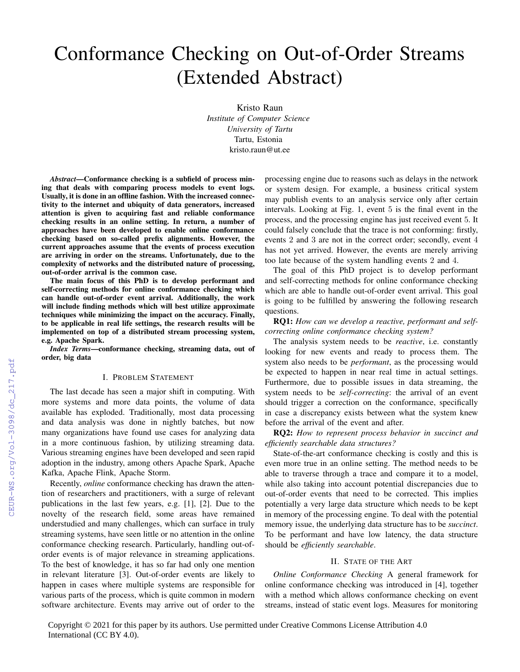# Conformance Checking on Out-of-Order Streams (Extended Abstract)

Kristo Raun *Institute of Computer Science University of Tartu* Tartu, Estonia kristo.raun@ut.ee

*Abstract*—Conformance checking is a subfield of process mining that deals with comparing process models to event logs. Usually, it is done in an offline fashion. With the increased connectivity to the internet and ubiquity of data generators, increased attention is given to acquiring fast and reliable conformance checking results in an online setting. In return, a number of approaches have been developed to enable online conformance checking based on so-called prefix alignments. However, the current approaches assume that the events of process execution are arriving in order on the streams. Unfortunately, due to the complexity of networks and the distributed nature of processing, out-of-order arrival is the common case.

The main focus of this PhD is to develop performant and self-correcting methods for online conformance checking which can handle out-of-order event arrival. Additionally, the work will include finding methods which will best utilize approximate techniques while minimizing the impact on the accuracy. Finally, to be applicable in real life settings, the research results will be implemented on top of a distributed stream processing system, e.g. Apache Spark.

*Index Terms*—conformance checking, streaming data, out of order, big data

### I. PROBLEM STATEMENT

The last decade has seen a major shift in computing. With more systems and more data points, the volume of data available has exploded. Traditionally, most data processing and data analysis was done in nightly batches, but now many organizations have found use cases for analyzing data in a more continuous fashion, by utilizing streaming data. Various streaming engines have been developed and seen rapid adoption in the industry, among others Apache Spark, Apache Kafka, Apache Flink, Apache Storm.

Recently, *online* conformance checking has drawn the attention of researchers and practitioners, with a surge of relevant publications in the last few years, e.g. [1], [2]. Due to the novelty of the research field, some areas have remained understudied and many challenges, which can surface in truly streaming systems, have seen little or no attention in the online conformance checking research. Particularly, handling out-oforder events is of major relevance in streaming applications. To the best of knowledge, it has so far had only one mention in relevant literature [3]. Out-of-order events are likely to happen in cases where multiple systems are responsible for various parts of the process, which is quite common in modern software architecture. Events may arrive out of order to the

processing engine due to reasons such as delays in the network or system design. For example, a business critical system may publish events to an analysis service only after certain intervals. Looking at Fig. 1, event 5 is the final event in the process, and the processing engine has just received event 5. It could falsely conclude that the trace is not conforming: firstly, events 2 and 3 are not in the correct order; secondly, event 4 has not yet arrived. However, the events are merely arriving too late because of the system handling events 2 and 4.

The goal of this PhD project is to develop performant and self-correcting methods for online conformance checking which are able to handle out-of-order event arrival. This goal is going to be fulfilled by answering the following research questions.

RQ1: *How can we develop a reactive, performant and selfcorrecting online conformance checking system?*

The analysis system needs to be *reactive*, i.e. constantly looking for new events and ready to process them. The system also needs to be *performant*, as the processing would be expected to happen in near real time in actual settings. Furthermore, due to possible issues in data streaming, the system needs to be *self-correcting*: the arrival of an event should trigger a correction on the conformance, specifically in case a discrepancy exists between what the system knew before the arrival of the event and after.

RQ2: *How to represent process behavior in succinct and efficiently searchable data structures?*

State-of-the-art conformance checking is costly and this is even more true in an online setting. The method needs to be able to traverse through a trace and compare it to a model, while also taking into account potential discrepancies due to out-of-order events that need to be corrected. This implies potentially a very large data structure which needs to be kept in memory of the processing engine. To deal with the potential memory issue, the underlying data structure has to be *succinct*. To be performant and have low latency, the data structure should be *efficiently searchable*.

# II. STATE OF THE ART

*Online Conformance Checking* A general framework for online conformance checking was introduced in [4], together with a method which allows conformance checking on event streams, instead of static event logs. Measures for monitoring

Copyright © 2021 for this paper by its authors. Use permitted under Creative Commons License Attribution 4.0 International (CC BY 4.0).